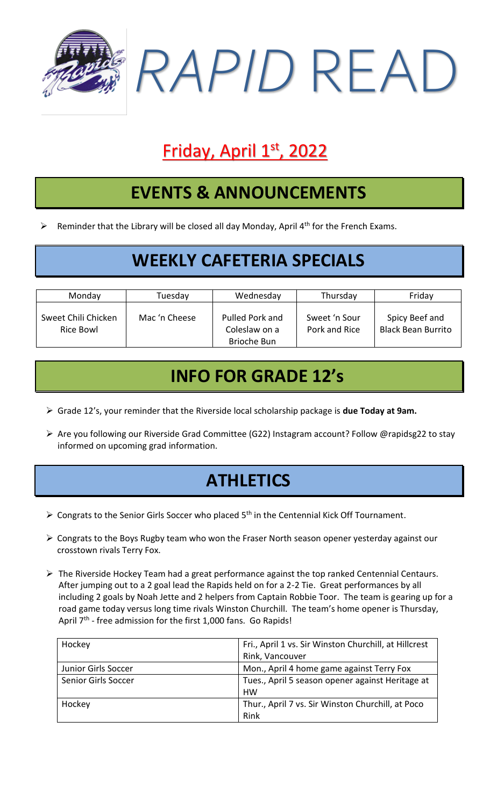

# Friday, April 1st, 2022

### **EVENTS & ANNOUNCEMENTS**

 $\triangleright$  Reminder that the Library will be closed all day Monday, April 4<sup>th</sup> for the French Exams.

#### **WEEKLY CAFETERIA SPECIALS**

| Monday                           | Tuesday       | Wednesday                                       | Thursday                       | Friday                                      |
|----------------------------------|---------------|-------------------------------------------------|--------------------------------|---------------------------------------------|
| Sweet Chili Chicken<br>Rice Bowl | Mac 'n Cheese | Pulled Pork and<br>Coleslaw on a<br>Brioche Bun | Sweet 'n Sour<br>Pork and Rice | Spicy Beef and<br><b>Black Bean Burrito</b> |

#### **INFO FOR GRADE 12's**

- ➢ Grade 12's, your reminder that the Riverside local scholarship package is **due Today at 9am.**
- ➢ Are you following our Riverside Grad Committee (G22) Instagram account? Follow @rapidsg22 to stay informed on upcoming grad information.

### **ATHLETICS**

- $\triangleright$  Congrats to the Senior Girls Soccer who placed 5<sup>th</sup> in the Centennial Kick Off Tournament.
- ➢ Congrats to the Boys Rugby team who won the Fraser North season opener yesterday against our crosstown rivals Terry Fox.
- ➢ The Riverside Hockey Team had a great performance against the top ranked Centennial Centaurs. After jumping out to a 2 goal lead the Rapids held on for a 2-2 Tie. Great performances by all including 2 goals by Noah Jette and 2 helpers from Captain Robbie Toor. The team is gearing up for a road game today versus long time rivals Winston Churchill. The team's home opener is Thursday, April 7<sup>th</sup> - free admission for the first 1,000 fans. Go Rapids!

| Hockey              | Fri., April 1 vs. Sir Winston Churchill, at Hillcrest<br>Rink, Vancouver |
|---------------------|--------------------------------------------------------------------------|
| Junior Girls Soccer | Mon., April 4 home game against Terry Fox                                |
| Senior Girls Soccer | Tues., April 5 season opener against Heritage at<br><b>HW</b>            |
| Hockey              | Thur., April 7 vs. Sir Winston Churchill, at Poco<br>Rink                |